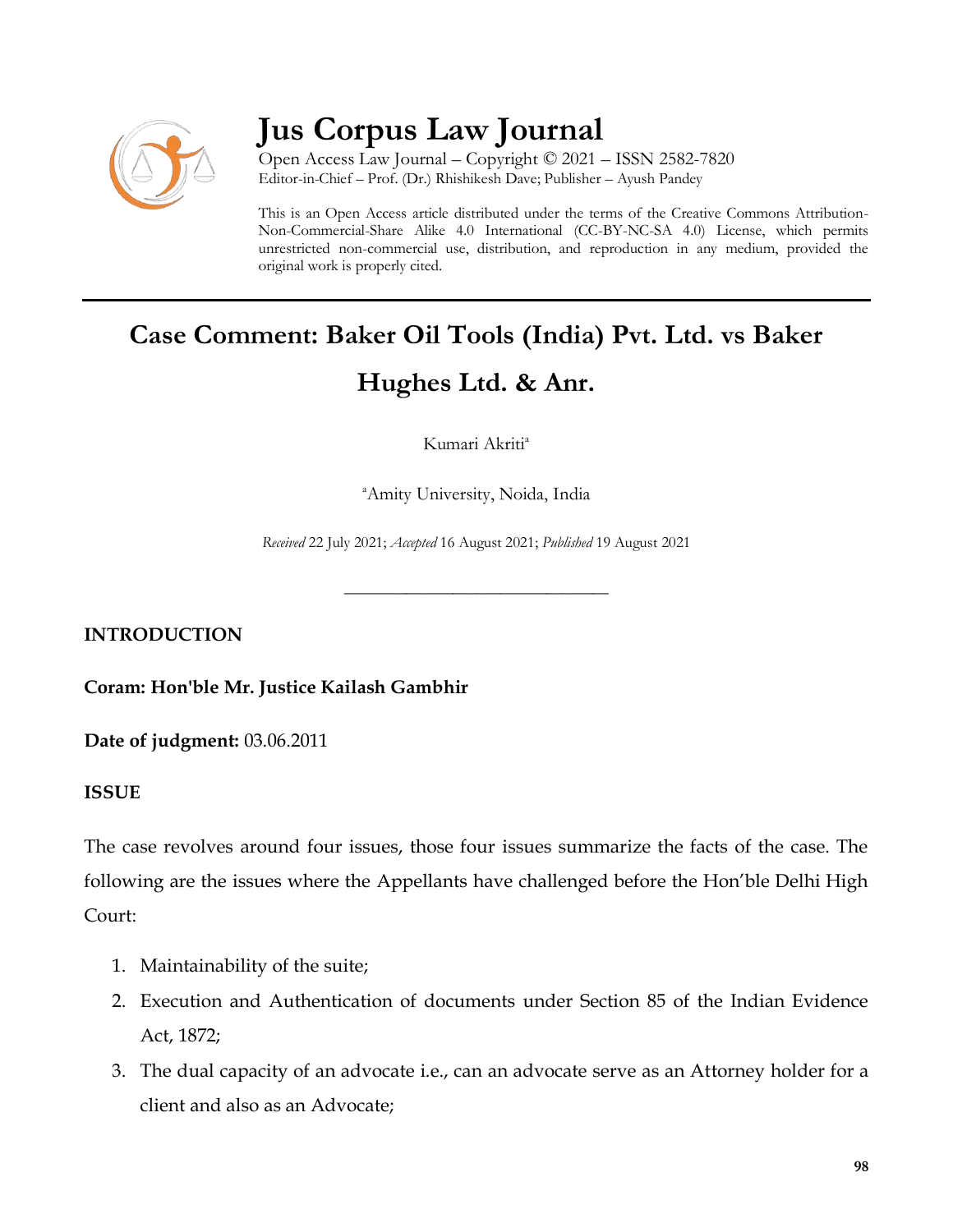

# **Jus Corpus Law Journal**

Open Access Law Journal – Copyright © 2021 – ISSN 2582-7820 Editor-in-Chief – Prof. (Dr.) Rhishikesh Dave; Publisher – Ayush Pandey

This is an Open Access article distributed under the terms of the Creative Commons Attribution-Non-Commercial-Share Alike 4.0 International (CC-BY-NC-SA 4.0) License, which permits unrestricted non-commercial use, distribution, and reproduction in any medium, provided the original work is properly cited.

# **Case Comment: Baker Oil Tools (India) Pvt. Ltd. vs Baker Hughes Ltd. & Anr.**

Kumari Akriti<sup>a</sup>

<sup>a</sup>Amity University, Noida, India

*Received* 22 July 2021; *Accepted* 16 August 2021; *Published* 19 August 2021

\_\_\_\_\_\_\_\_\_\_\_\_\_\_\_\_\_\_\_\_\_\_\_\_\_\_\_\_\_\_\_\_\_\_

**INTRODUCTION**

**Coram: Hon'ble Mr. Justice Kailash Gambhir**

**Date of judgment:** 03.06.2011

## **ISSUE**

The case revolves around four issues, those four issues summarize the facts of the case. The following are the issues where the Appellants have challenged before the Hon'ble Delhi High Court:

- 1. Maintainability of the suite;
- 2. Execution and Authentication of documents under Section 85 of the Indian Evidence Act, 1872;
- 3. The dual capacity of an advocate i.e., can an advocate serve as an Attorney holder for a client and also as an Advocate;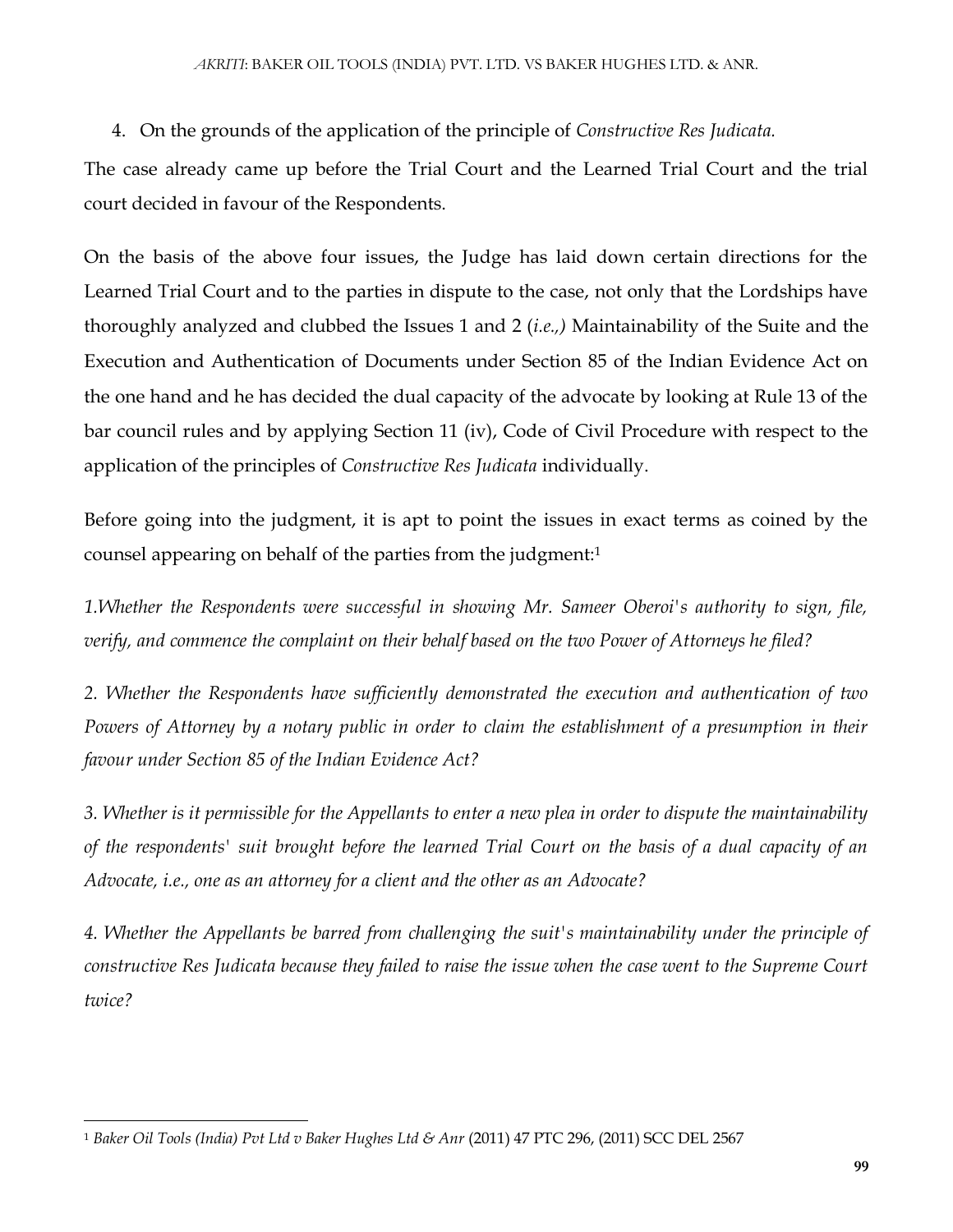4. On the grounds of the application of the principle of *Constructive Res Judicata.*

The case already came up before the Trial Court and the Learned Trial Court and the trial court decided in favour of the Respondents.

On the basis of the above four issues, the Judge has laid down certain directions for the Learned Trial Court and to the parties in dispute to the case, not only that the Lordships have thoroughly analyzed and clubbed the Issues 1 and 2 (*i.e.,)* Maintainability of the Suite and the Execution and Authentication of Documents under Section 85 of the Indian Evidence Act on the one hand and he has decided the dual capacity of the advocate by looking at Rule 13 of the bar council rules and by applying Section 11 (iv), Code of Civil Procedure with respect to the application of the principles of *Constructive Res Judicata* individually.

Before going into the judgment, it is apt to point the issues in exact terms as coined by the counsel appearing on behalf of the parties from the judgment:<sup>1</sup>

*1.Whether the Respondents were successful in showing Mr. Sameer Oberoi's authority to sign, file, verify, and commence the complaint on their behalf based on the two Power of Attorneys he filed?*

*2. Whether the Respondents have sufficiently demonstrated the execution and authentication of two Powers of Attorney by a notary public in order to claim the establishment of a presumption in their favour under Section 85 of the Indian Evidence Act?*

*3. Whether is it permissible for the Appellants to enter a new plea in order to dispute the maintainability of the respondents' suit brought before the learned Trial Court on the basis of a dual capacity of an Advocate, i.e., one as an attorney for a client and the other as an Advocate?*

*4. Whether the Appellants be barred from challenging the suit's maintainability under the principle of constructive Res Judicata because they failed to raise the issue when the case went to the Supreme Court twice?*

 $\overline{\phantom{a}}$ <sup>1</sup> *Baker Oil Tools (India) Pvt Ltd v Baker Hughes Ltd & Anr* (2011) 47 PTC 296, (2011) SCC DEL 2567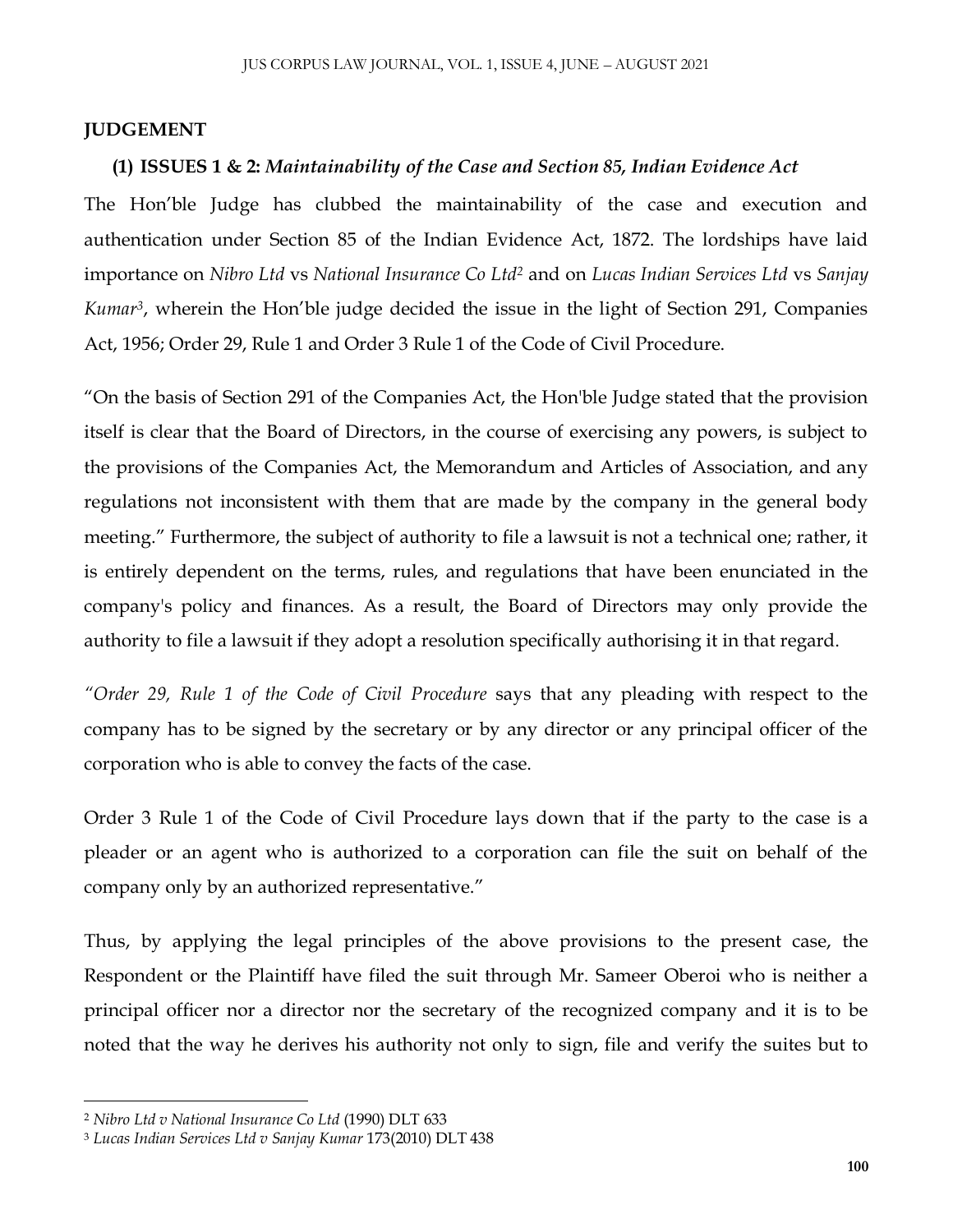#### **JUDGEMENT**

#### **(1) ISSUES 1 & 2:** *Maintainability of the Case and Section 85, Indian Evidence Act*

The Hon'ble Judge has clubbed the maintainability of the case and execution and authentication under Section 85 of the Indian Evidence Act, 1872. The lordships have laid importance on *Nibro Ltd* vs *National Insurance Co Ltd<sup>2</sup>* and on *Lucas Indian Services Ltd* vs *Sanjay Kumar<sup>3</sup>* , wherein the Hon'ble judge decided the issue in the light of Section 291, Companies Act, 1956; Order 29, Rule 1 and Order 3 Rule 1 of the Code of Civil Procedure.

"On the basis of Section 291 of the Companies Act, the Hon'ble Judge stated that the provision itself is clear that the Board of Directors, in the course of exercising any powers, is subject to the provisions of the Companies Act, the Memorandum and Articles of Association, and any regulations not inconsistent with them that are made by the company in the general body meeting." Furthermore, the subject of authority to file a lawsuit is not a technical one; rather, it is entirely dependent on the terms, rules, and regulations that have been enunciated in the company's policy and finances. As a result, the Board of Directors may only provide the authority to file a lawsuit if they adopt a resolution specifically authorising it in that regard.

*"Order 29, Rule 1 of the Code of Civil Procedure* says that any pleading with respect to the company has to be signed by the secretary or by any director or any principal officer of the corporation who is able to convey the facts of the case.

Order 3 Rule 1 of the Code of Civil Procedure lays down that if the party to the case is a pleader or an agent who is authorized to a corporation can file the suit on behalf of the company only by an authorized representative."

Thus, by applying the legal principles of the above provisions to the present case, the Respondent or the Plaintiff have filed the suit through Mr. Sameer Oberoi who is neither a principal officer nor a director nor the secretary of the recognized company and it is to be noted that the way he derives his authority not only to sign, file and verify the suites but to

 $\overline{\phantom{a}}$ 

<sup>2</sup> *Nibro Ltd v National Insurance Co Ltd* (1990) DLT 633

<sup>3</sup> *Lucas Indian Services Ltd v Sanjay Kumar* 173(2010) DLT 438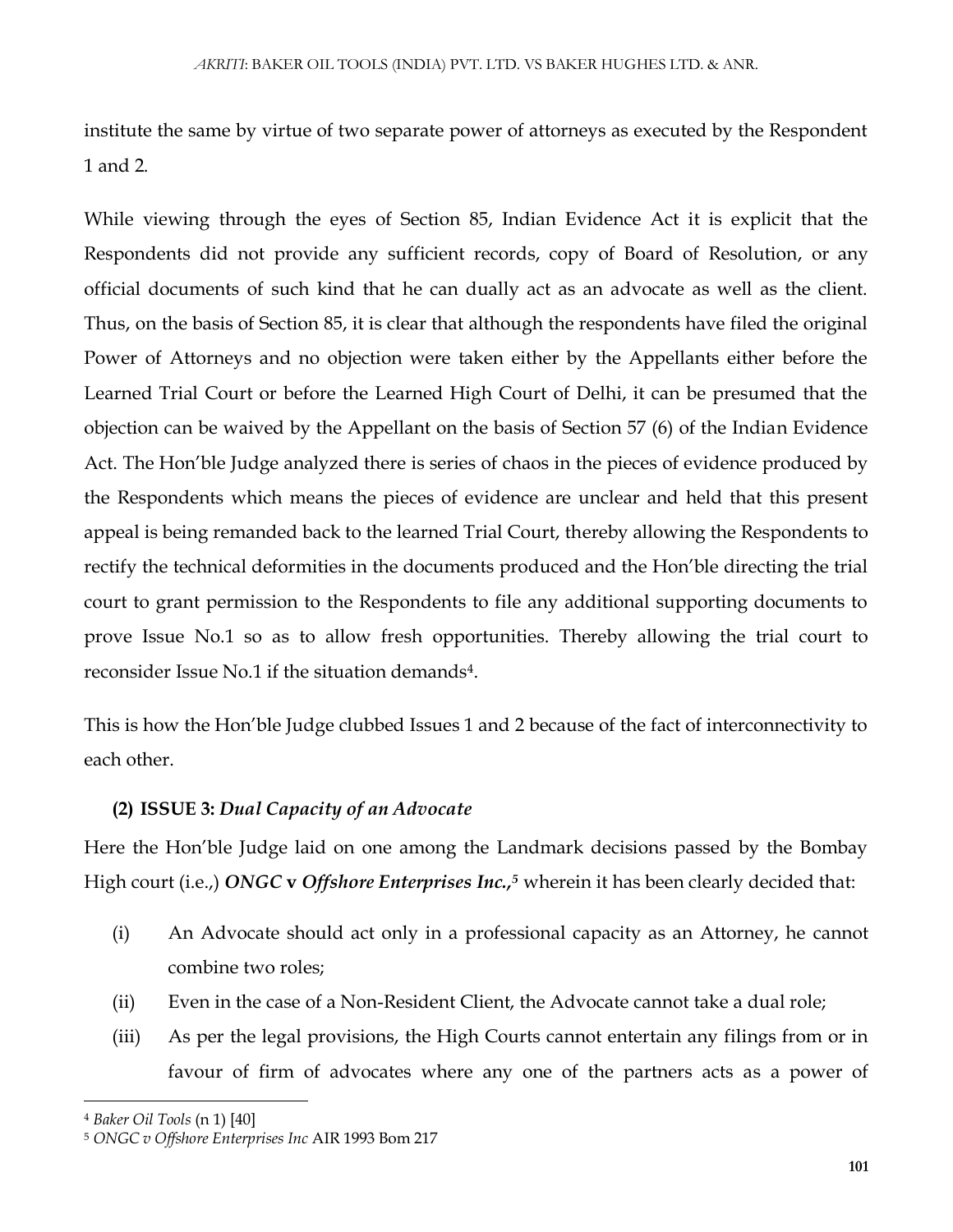institute the same by virtue of two separate power of attorneys as executed by the Respondent 1 and 2.

While viewing through the eyes of Section 85, Indian Evidence Act it is explicit that the Respondents did not provide any sufficient records, copy of Board of Resolution, or any official documents of such kind that he can dually act as an advocate as well as the client. Thus, on the basis of Section 85, it is clear that although the respondents have filed the original Power of Attorneys and no objection were taken either by the Appellants either before the Learned Trial Court or before the Learned High Court of Delhi, it can be presumed that the objection can be waived by the Appellant on the basis of Section 57 (6) of the Indian Evidence Act. The Hon'ble Judge analyzed there is series of chaos in the pieces of evidence produced by the Respondents which means the pieces of evidence are unclear and held that this present appeal is being remanded back to the learned Trial Court, thereby allowing the Respondents to rectify the technical deformities in the documents produced and the Hon'ble directing the trial court to grant permission to the Respondents to file any additional supporting documents to prove Issue No.1 so as to allow fresh opportunities. Thereby allowing the trial court to reconsider Issue No.1 if the situation demands<sup>4</sup>.

This is how the Hon'ble Judge clubbed Issues 1 and 2 because of the fact of interconnectivity to each other.

## **(2) ISSUE 3:** *Dual Capacity of an Advocate*

Here the Hon'ble Judge laid on one among the Landmark decisions passed by the Bombay High court (i.e.,) *ONGC* **v** *Offshore Enterprises Inc.,<sup>5</sup>* wherein it has been clearly decided that:

- (i) An Advocate should act only in a professional capacity as an Attorney, he cannot combine two roles;
- (ii) Even in the case of a Non-Resident Client, the Advocate cannot take a dual role;
- (iii) As per the legal provisions, the High Courts cannot entertain any filings from or in favour of firm of advocates where any one of the partners acts as a power of

 $\overline{\phantom{a}}$ 

<sup>4</sup> *Baker Oil Tools* (n 1) [40]

<sup>5</sup> *ONGC v Offshore Enterprises Inc* AIR 1993 Bom 217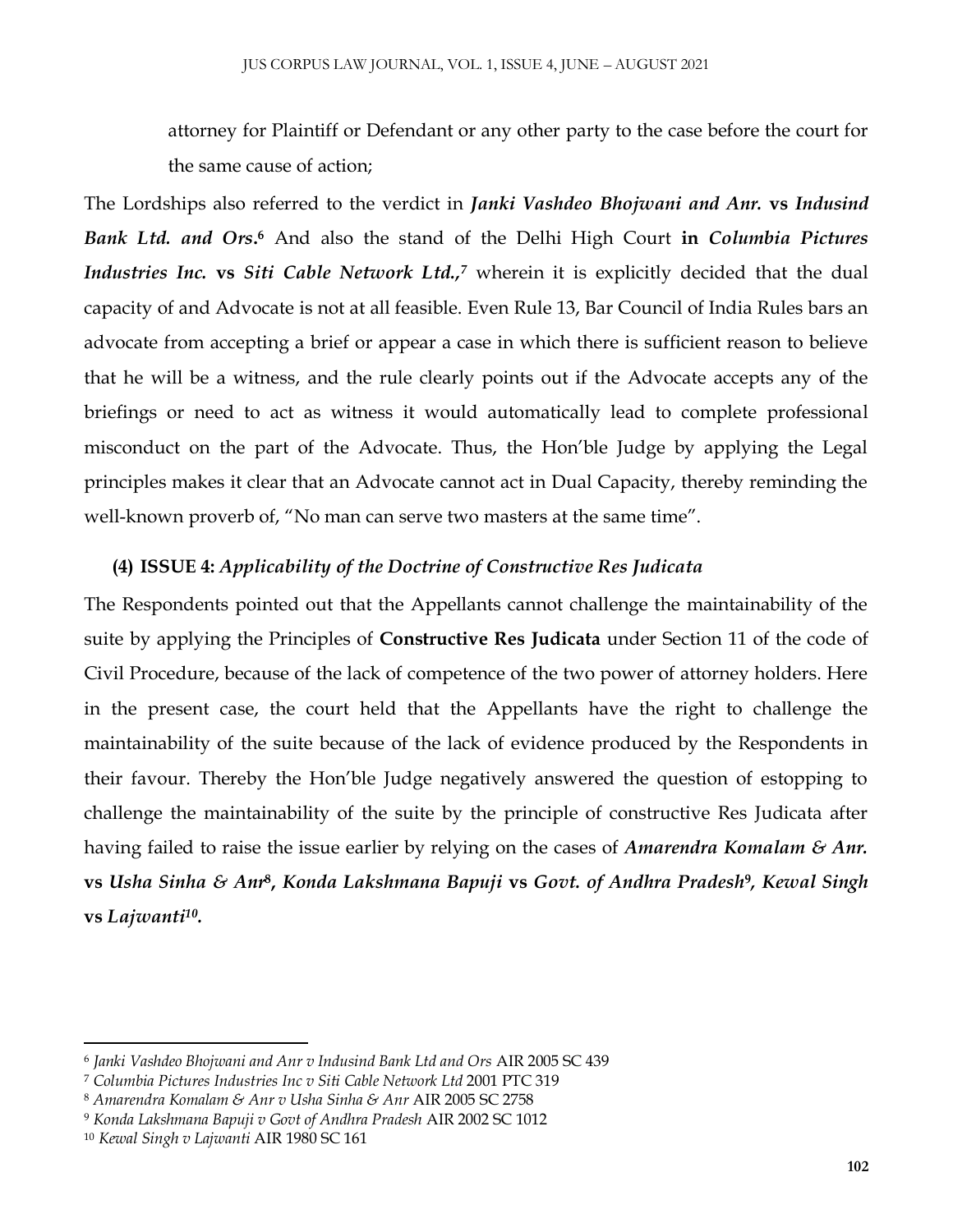attorney for Plaintiff or Defendant or any other party to the case before the court for the same cause of action;

The Lordships also referred to the verdict in *Janki Vashdeo Bhojwani and Anr.* **vs** *Indusind*  **Bank Ltd. and Ors.**<sup>6</sup> And also the stand of the Delhi High Court in *Columbia Pictures Industries Inc.* **vs** *Siti Cable Network Ltd.,<sup>7</sup>* wherein it is explicitly decided that the dual capacity of and Advocate is not at all feasible. Even Rule 13, Bar Council of India Rules bars an advocate from accepting a brief or appear a case in which there is sufficient reason to believe that he will be a witness, and the rule clearly points out if the Advocate accepts any of the briefings or need to act as witness it would automatically lead to complete professional misconduct on the part of the Advocate. Thus, the Hon'ble Judge by applying the Legal principles makes it clear that an Advocate cannot act in Dual Capacity, thereby reminding the well-known proverb of, "No man can serve two masters at the same time".

### **(4) ISSUE 4:** *Applicability of the Doctrine of Constructive Res Judicata*

The Respondents pointed out that the Appellants cannot challenge the maintainability of the suite by applying the Principles of **Constructive Res Judicata** under Section 11 of the code of Civil Procedure, because of the lack of competence of the two power of attorney holders. Here in the present case, the court held that the Appellants have the right to challenge the maintainability of the suite because of the lack of evidence produced by the Respondents in their favour. Thereby the Hon'ble Judge negatively answered the question of estopping to challenge the maintainability of the suite by the principle of constructive Res Judicata after having failed to raise the issue earlier by relying on the cases of *Amarendra Komalam & Anr.* **vs** *Usha Sinha & Anr***<sup>8</sup> ,** *Konda Lakshmana Bapuji* **vs** *Govt. of Andhra Pradesh***<sup>9</sup>** *, Kewal Singh*  **vs** *Lajwanti<sup>10</sup> .*

 $\overline{a}$ 

<sup>6</sup> *Janki Vashdeo Bhojwani and Anr v Indusind Bank Ltd and Ors* AIR 2005 SC 439

<sup>7</sup> *Columbia Pictures Industries Inc v Siti Cable Network Ltd* 2001 PTC 319

<sup>8</sup> *Amarendra Komalam & Anr v Usha Sinha & Anr* AIR 2005 SC 2758

<sup>9</sup> *Konda Lakshmana Bapuji v Govt of Andhra Pradesh* AIR 2002 SC 1012

<sup>10</sup> *Kewal Singh v Lajwanti* AIR 1980 SC 161